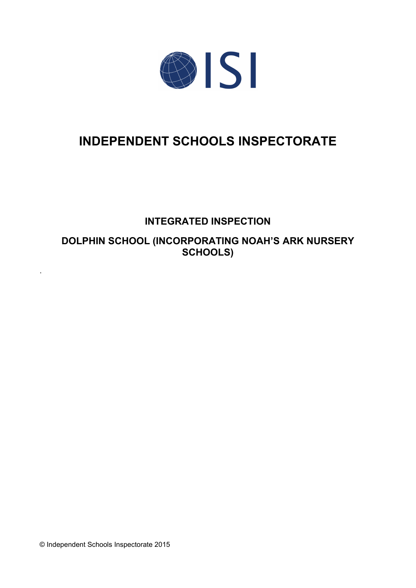

# **INDEPENDENT SCHOOLS INSPECTORATE**

## **INTEGRATED INSPECTION**

**DOLPHIN SCHOOL (INCORPORATING NOAH'S ARK NURSERY SCHOOLS)**

© Independent Schools Inspectorate 2015

.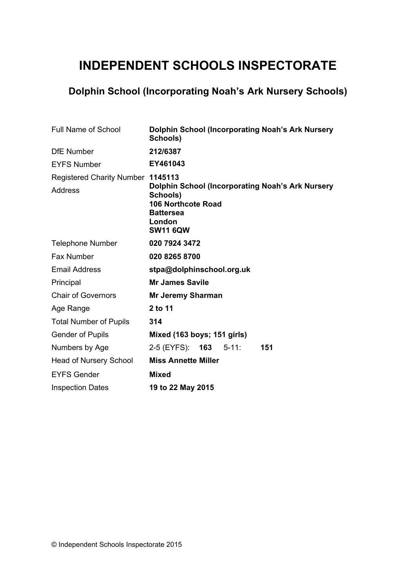# **INDEPENDENT SCHOOLS INSPECTORATE**

## **Dolphin School (Incorporating Noah's Ark Nursery Schools)**

| <b>Full Name of School</b>                          | <b>Dolphin School (Incorporating Noah's Ark Nursery</b><br>Schools)                                                                               |
|-----------------------------------------------------|---------------------------------------------------------------------------------------------------------------------------------------------------|
| <b>DfE</b> Number                                   | 212/6387                                                                                                                                          |
| <b>EYFS Number</b>                                  | EY461043                                                                                                                                          |
| Registered Charity Number 1145113<br><b>Address</b> | <b>Dolphin School (Incorporating Noah's Ark Nursery</b><br>Schools)<br><b>106 Northcote Road</b><br><b>Battersea</b><br>London<br><b>SW11 6QW</b> |
| <b>Telephone Number</b>                             | 020 7924 3472                                                                                                                                     |
| <b>Fax Number</b>                                   | 020 8265 8700                                                                                                                                     |
| <b>Email Address</b>                                | stpa@dolphinschool.org.uk                                                                                                                         |
| Principal                                           | <b>Mr James Savile</b>                                                                                                                            |
| <b>Chair of Governors</b>                           | <b>Mr Jeremy Sharman</b>                                                                                                                          |
| Age Range                                           | 2 to 11                                                                                                                                           |
| <b>Total Number of Pupils</b>                       | 314                                                                                                                                               |
| <b>Gender of Pupils</b>                             | Mixed (163 boys; 151 girls)                                                                                                                       |
| Numbers by Age                                      | 2-5 (EYFS): <b>163</b> 5-11:<br>151                                                                                                               |
| <b>Head of Nursery School</b>                       | <b>Miss Annette Miller</b>                                                                                                                        |
| <b>EYFS Gender</b>                                  | <b>Mixed</b>                                                                                                                                      |
| <b>Inspection Dates</b>                             | 19 to 22 May 2015                                                                                                                                 |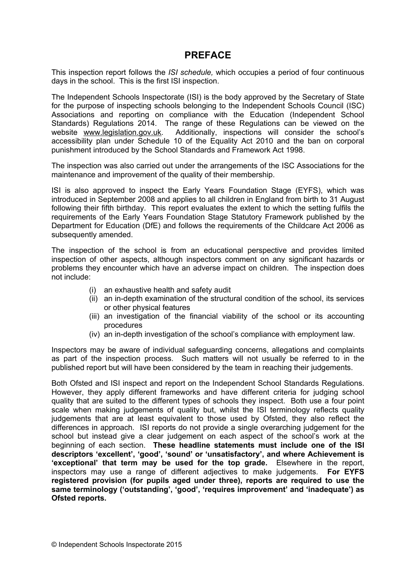## **PREFACE**

This inspection report follows the *ISI schedule,* which occupies a period of four continuous days in the school. This is the first ISI inspection.

The Independent Schools Inspectorate (ISI) is the body approved by the Secretary of State for the purpose of inspecting schools belonging to the Independent Schools Council (ISC) Associations and reporting on compliance with the Education (Independent School Standards) Regulations 2014. The range of these Regulations can be viewed on the website [www.legislation.gov.uk.](http://www.legislation.gov.uk) Additionally, inspections will consider the school's accessibility plan under Schedule 10 of the Equality Act 2010 and the ban on corporal punishment introduced by the School Standards and Framework Act 1998.

The inspection was also carried out under the arrangements of the ISC Associations for the maintenance and improvement of the quality of their membership.

ISI is also approved to inspect the Early Years Foundation Stage (EYFS), which was introduced in September 2008 and applies to all children in England from birth to 31 August following their fifth birthday. This report evaluates the extent to which the setting fulfils the requirements of the Early Years Foundation Stage Statutory Framework published by the Department for Education (DfE) and follows the requirements of the Childcare Act 2006 as subsequently amended.

The inspection of the school is from an educational perspective and provides limited inspection of other aspects, although inspectors comment on any significant hazards or problems they encounter which have an adverse impact on children. The inspection does not include:

- (i) an exhaustive health and safety audit
- (ii) an in-depth examination of the structural condition of the school, its services or other physical features
- (iii) an investigation of the financial viability of the school or its accounting procedures
- (iv) an in-depth investigation of the school's compliance with employment law.

Inspectors may be aware of individual safeguarding concerns, allegations and complaints as part of the inspection process. Such matters will not usually be referred to in the published report but will have been considered by the team in reaching their judgements.

Both Ofsted and ISI inspect and report on the Independent School Standards Regulations. However, they apply different frameworks and have different criteria for judging school quality that are suited to the different types of schools they inspect. Both use a four point scale when making judgements of quality but, whilst the ISI terminology reflects quality judgements that are at least equivalent to those used by Ofsted, they also reflect the differences in approach. ISI reports do not provide a single overarching judgement for the school but instead give a clear judgement on each aspect of the school's work at the beginning of each section. **These headline statements must include one of the ISI descriptors 'excellent', 'good', 'sound' or 'unsatisfactory', and where Achievement is 'exceptional' that term may be used for the top grade.** Elsewhere in the report, inspectors may use a range of different adjectives to make judgements. **For EYFS registered provision (for pupils aged under three), reports are required to use the same terminology ('outstanding', 'good', 'requires improvement' and 'inadequate') as Ofsted reports.**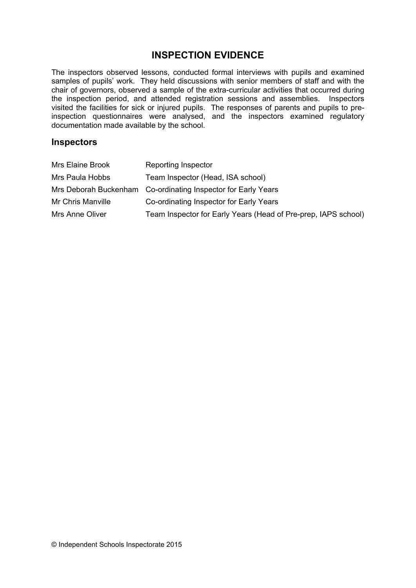## **INSPECTION EVIDENCE**

The inspectors observed lessons, conducted formal interviews with pupils and examined samples of pupils' work. They held discussions with senior members of staff and with the chair of governors, observed a sample of the extra-curricular activities that occurred during the inspection period, and attended registration sessions and assemblies. Inspectors visited the facilities for sick or injured pupils. The responses of parents and pupils to preinspection questionnaires were analysed, and the inspectors examined regulatory documentation made available by the school.

#### **Inspectors**

| Mrs Elaine Brook  | <b>Reporting Inspector</b>                                     |
|-------------------|----------------------------------------------------------------|
| Mrs Paula Hobbs   | Team Inspector (Head, ISA school)                              |
|                   | Mrs Deborah Buckenham Co-ordinating Inspector for Early Years  |
| Mr Chris Manville | Co-ordinating Inspector for Early Years                        |
| Mrs Anne Oliver   | Team Inspector for Early Years (Head of Pre-prep, IAPS school) |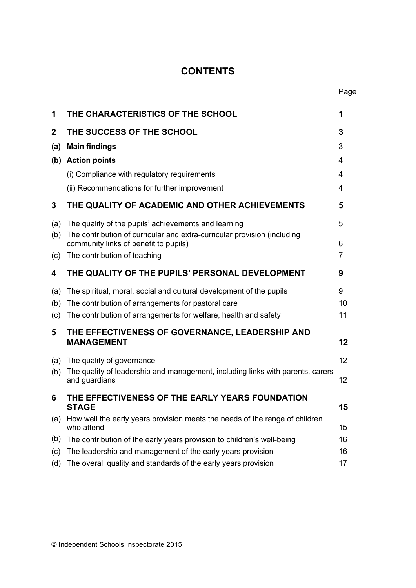## **CONTENTS**

Page

| 1           | THE CHARACTERISTICS OF THE SCHOOL                                                                                 | 1  |
|-------------|-------------------------------------------------------------------------------------------------------------------|----|
| $\mathbf 2$ | THE SUCCESS OF THE SCHOOL                                                                                         | 3  |
| (a)         | <b>Main findings</b>                                                                                              | 3  |
|             | (b) Action points                                                                                                 | 4  |
|             | (i) Compliance with regulatory requirements                                                                       | 4  |
|             | (ii) Recommendations for further improvement                                                                      | 4  |
| 3           | THE QUALITY OF ACADEMIC AND OTHER ACHIEVEMENTS                                                                    | 5  |
| (a)         | The quality of the pupils' achievements and learning                                                              | 5  |
| (b)         | The contribution of curricular and extra-curricular provision (including<br>community links of benefit to pupils) | 6  |
| (c)         | The contribution of teaching                                                                                      | 7  |
| 4           | THE QUALITY OF THE PUPILS' PERSONAL DEVELOPMENT                                                                   | 9  |
| (a)         | The spiritual, moral, social and cultural development of the pupils                                               | 9  |
| (b)         | The contribution of arrangements for pastoral care                                                                | 10 |
| (c)         | The contribution of arrangements for welfare, health and safety                                                   | 11 |
| 5           | THE EFFECTIVENESS OF GOVERNANCE, LEADERSHIP AND<br><b>MANAGEMENT</b>                                              | 12 |
| (a)         | The quality of governance                                                                                         | 12 |
| (b)         | The quality of leadership and management, including links with parents, carers                                    |    |
|             | and guardians                                                                                                     | 12 |
| 6           | THE EFFECTIVENESS OF THE EARLY YEARS FOUNDATION<br><b>STAGE</b>                                                   | 15 |
| (a)         | How well the early years provision meets the needs of the range of children<br>who attend                         | 15 |
| (b)         | The contribution of the early years provision to children's well-being                                            | 16 |
| (c)         | The leadership and management of the early years provision                                                        | 16 |
| (d)         | The overall quality and standards of the early years provision                                                    | 17 |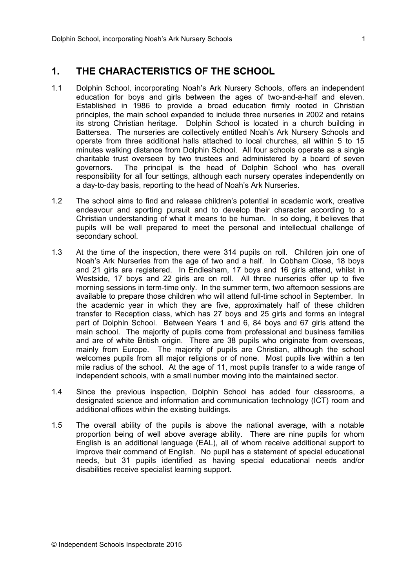### **1. THE CHARACTERISTICS OF THE SCHOOL**

- 1.1 Dolphin School, incorporating Noah's Ark Nursery Schools, offers an independent education for boys and girls between the ages of two-and-a-half and eleven. Established in 1986 to provide a broad education firmly rooted in Christian principles, the main school expanded to include three nurseries in 2002 and retains its strong Christian heritage. Dolphin School is located in a church building in Battersea. The nurseries are collectively entitled Noah's Ark Nursery Schools and operate from three additional halls attached to local churches, all within 5 to 15 minutes walking distance from Dolphin School. All four schools operate as a single charitable trust overseen by two trustees and administered by a board of seven governors. The principal is the head of Dolphin School who has overall responsibility for all four settings, although each nursery operates independently on a day-to-day basis, reporting to the head of Noah's Ark Nurseries.
- 1.2 The school aims to find and release children's potential in academic work, creative endeavour and sporting pursuit and to develop their character according to a Christian understanding of what it means to be human. In so doing, it believes that pupils will be well prepared to meet the personal and intellectual challenge of secondary school.
- 1.3 At the time of the inspection, there were 314 pupils on roll. Children join one of Noah's Ark Nurseries from the age of two and a half. In Cobham Close, 18 boys and 21 girls are registered. In Endlesham, 17 boys and 16 girls attend, whilst in Westside, 17 boys and 22 girls are on roll. All three nurseries offer up to five morning sessions in term-time only. In the summer term, two afternoon sessions are available to prepare those children who will attend full-time school in September. In the academic year in which they are five, approximately half of these children transfer to Reception class, which has 27 boys and 25 girls and forms an integral part of Dolphin School. Between Years 1 and 6, 84 boys and 67 girls attend the main school. The majority of pupils come from professional and business families and are of white British origin. There are 38 pupils who originate from overseas, mainly from Europe. The majority of pupils are Christian, although the school welcomes pupils from all major religions or of none. Most pupils live within a ten mile radius of the school. At the age of 11, most pupils transfer to a wide range of independent schools, with a small number moving into the maintained sector.
- 1.4 Since the previous inspection, Dolphin School has added four classrooms, a designated science and information and communication technology (ICT) room and additional offices within the existing buildings.
- 1.5 The overall ability of the pupils is above the national average, with a notable proportion being of well above average ability. There are nine pupils for whom English is an additional language (EAL), all of whom receive additional support to improve their command of English. No pupil has a statement of special educational needs, but 31 pupils identified as having special educational needs and/or disabilities receive specialist learning support.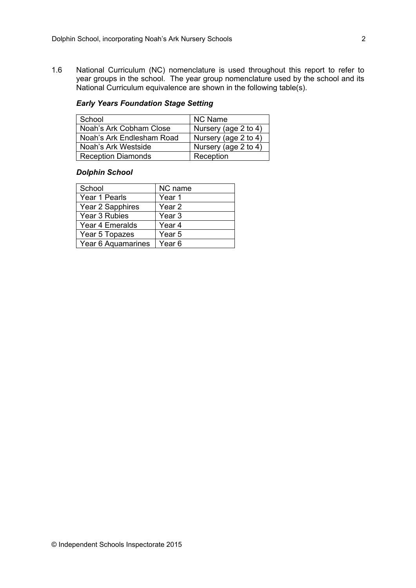1.6 National Curriculum (NC) nomenclature is used throughout this report to refer to year groups in the school. The year group nomenclature used by the school and its National Curriculum equivalence are shown in the following table(s).

#### *Early Years Foundation Stage Setting*

| School                    | <b>NC Name</b>       |
|---------------------------|----------------------|
| Noah's Ark Cobham Close   | Nursery (age 2 to 4) |
| Noah's Ark Endlesham Road | Nursery (age 2 to 4) |
| Noah's Ark Westside       | Nursery (age 2 to 4) |
| <b>Reception Diamonds</b> | Reception            |

#### *Dolphin School*

| School             | NC name           |
|--------------------|-------------------|
| Year 1 Pearls      | Year 1            |
| Year 2 Sapphires   | Year <sub>2</sub> |
| Year 3 Rubies      | Year <sub>3</sub> |
| Year 4 Emeralds    | Year <sub>4</sub> |
| Year 5 Topazes     | Year <sub>5</sub> |
| Year 6 Aquamarines | Year <sub>6</sub> |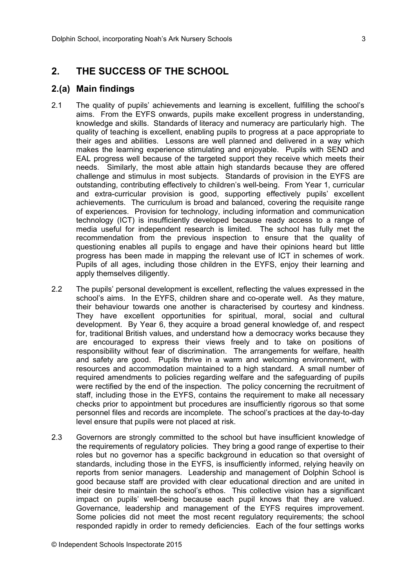## **2. THE SUCCESS OF THE SCHOOL**

#### **2.(a) Main findings**

- 2.1 The quality of pupils' achievements and learning is excellent, fulfilling the school's aims. From the EYFS onwards, pupils make excellent progress in understanding, knowledge and skills. Standards of literacy and numeracy are particularly high. The quality of teaching is excellent, enabling pupils to progress at a pace appropriate to their ages and abilities. Lessons are well planned and delivered in a way which makes the learning experience stimulating and enjoyable. Pupils with SEND and EAL progress well because of the targeted support they receive which meets their needs. Similarly, the most able attain high standards because they are offered challenge and stimulus in most subjects. Standards of provision in the EYFS are outstanding, contributing effectively to children's well-being. From Year 1, curricular and extra-curricular provision is good, supporting effectively pupils' excellent achievements. The curriculum is broad and balanced, covering the requisite range of experiences. Provision for technology, including information and communication technology (ICT) is insufficiently developed because ready access to a range of media useful for independent research is limited. The school has fully met the recommendation from the previous inspection to ensure that the quality of questioning enables all pupils to engage and have their opinions heard but little progress has been made in mapping the relevant use of ICT in schemes of work. Pupils of all ages, including those children in the EYFS, enjoy their learning and apply themselves diligently.
- 2.2 The pupils' personal development is excellent, reflecting the values expressed in the school's aims. In the EYFS, children share and co-operate well. As they mature, their behaviour towards one another is characterised by courtesy and kindness. They have excellent opportunities for spiritual, moral, social and cultural development. By Year 6, they acquire a broad general knowledge of, and respect for, traditional British values, and understand how a democracy works because they are encouraged to express their views freely and to take on positions of responsibility without fear of discrimination. The arrangements for welfare, health and safety are good. Pupils thrive in a warm and welcoming environment, with resources and accommodation maintained to a high standard. A small number of required amendments to policies regarding welfare and the safeguarding of pupils were rectified by the end of the inspection. The policy concerning the recruitment of staff, including those in the EYFS, contains the requirement to make all necessary checks prior to appointment but procedures are insufficiently rigorous so that some personnel files and records are incomplete. The school's practices at the day-to-day level ensure that pupils were not placed at risk.
- 2.3 Governors are strongly committed to the school but have insufficient knowledge of the requirements of regulatory policies. They bring a good range of expertise to their roles but no governor has a specific background in education so that oversight of standards, including those in the EYFS, is insufficiently informed, relying heavily on reports from senior managers. Leadership and management of Dolphin School is good because staff are provided with clear educational direction and are united in their desire to maintain the school's ethos. This collective vision has a significant impact on pupils' well-being because each pupil knows that they are valued. Governance, leadership and management of the EYFS requires improvement. Some policies did not meet the most recent regulatory requirements; the school responded rapidly in order to remedy deficiencies. Each of the four settings works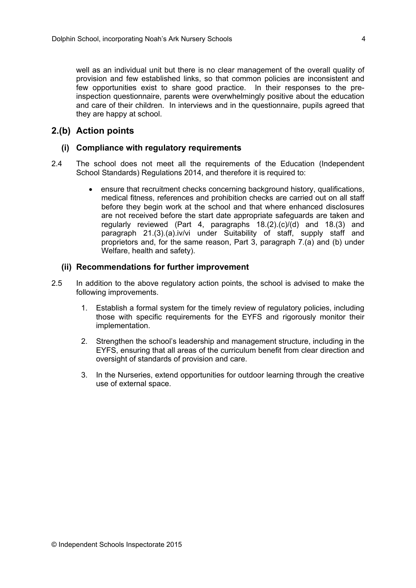well as an individual unit but there is no clear management of the overall quality of provision and few established links, so that common policies are inconsistent and few opportunities exist to share good practice. In their responses to the preinspection questionnaire, parents were overwhelmingly positive about the education and care of their children. In interviews and in the questionnaire, pupils agreed that they are happy at school.

#### **2.(b) Action points**

#### **(i) Compliance with regulatory requirements**

- 2.4 The school does not meet all the requirements of the Education (Independent School Standards) Regulations 2014, and therefore it is required to:
	- ensure that recruitment checks concerning background history, qualifications, medical fitness, references and prohibition checks are carried out on all staff before they begin work at the school and that where enhanced disclosures are not received before the start date appropriate safeguards are taken and regularly reviewed (Part 4, paragraphs 18.(2).(c)/(d) and 18.(3) and paragraph 21.(3).(a).iv/vi under Suitability of staff, supply staff and proprietors and, for the same reason, Part 3, paragraph 7.(a) and (b) under Welfare, health and safety).

#### **(ii) Recommendations for further improvement**

- 2.5 In addition to the above regulatory action points, the school is advised to make the following improvements.
	- 1. Establish a formal system for the timely review of regulatory policies, including those with specific requirements for the EYFS and rigorously monitor their implementation.
	- 2. Strengthen the school's leadership and management structure, including in the EYFS, ensuring that all areas of the curriculum benefit from clear direction and oversight of standards of provision and care.
	- 3. In the Nurseries, extend opportunities for outdoor learning through the creative use of external space.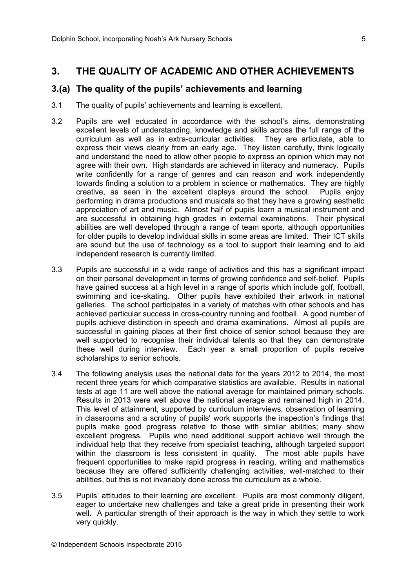## **3. THE QUALITY OF ACADEMIC AND OTHER ACHIEVEMENTS**

#### **3.(a) The quality of the pupils' achievements and learning**

- 3.1 The quality of pupils' achievements and learning is excellent.
- 3.2 Pupils are well educated in accordance with the school's aims, demonstrating excellent levels of understanding, knowledge and skills across the full range of the curriculum as well as in extra-curricular activities. They are articulate, able to express their views clearly from an early age. They listen carefully, think logically and understand the need to allow other people to express an opinion which may not agree with their own. High standards are achieved in literacy and numeracy. Pupils write confidently for a range of genres and can reason and work independently towards finding a solution to a problem in science or mathematics. They are highly creative, as seen in the excellent displays around the school. Pupils enjoy performing in drama productions and musicals so that they have a growing aesthetic appreciation of art and music. Almost half of pupils learn a musical instrument and are successful in obtaining high grades in external examinations. Their physical abilities are well developed through a range of team sports, although opportunities for older pupils to develop individual skills in some areas are limited. Their ICT skills are sound but the use of technology as a tool to support their learning and to aid independent research is currently limited.
- 3.3 Pupils are successful in a wide range of activities and this has a significant impact on their personal development in terms of growing confidence and self-belief. Pupils have gained success at a high level in a range of sports which include golf, football, swimming and ice-skating. Other pupils have exhibited their artwork in national galleries. The school participates in a variety of matches with other schools and has achieved particular success in cross-country running and football. A good number of pupils achieve distinction in speech and drama examinations. Almost all pupils are successful in gaining places at their first choice of senior school because they are well supported to recognise their individual talents so that they can demonstrate these well during interview. Each year a small proportion of pupils receive scholarships to senior schools.
- 3.4 The following analysis uses the national data for the years 2012 to 2014, the most recent three years for which comparative statistics are available. Results in national tests at age 11 are well above the national average for maintained primary schools. Results in 2013 were well above the national average and remained high in 2014. This level of attainment, supported by curriculum interviews, observation of learning in classrooms and a scrutiny of pupils' work supports the inspection's findings that pupils make good progress relative to those with similar abilities; many show excellent progress. Pupils who need additional support achieve well through the individual help that they receive from specialist teaching, although targeted support within the classroom is less consistent in quality. The most able pupils have frequent opportunities to make rapid progress in reading, writing and mathematics because they are offered sufficiently challenging activities, well-matched to their abilities, but this is not invariably done across the curriculum as a whole.
- 3.5 Pupils' attitudes to their learning are excellent. Pupils are most commonly diligent, eager to undertake new challenges and take a great pride in presenting their work well. A particular strength of their approach is the way in which they settle to work very quickly.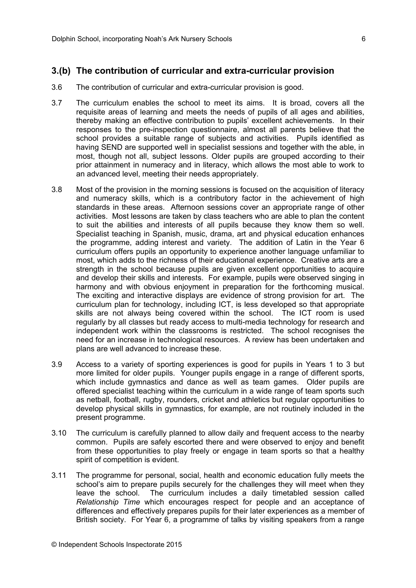#### **3.(b) The contribution of curricular and extra-curricular provision**

- 3.6 The contribution of curricular and extra-curricular provision is good.
- 3.7 The curriculum enables the school to meet its aims. It is broad, covers all the requisite areas of learning and meets the needs of pupils of all ages and abilities, thereby making an effective contribution to pupils' excellent achievements. In their responses to the pre-inspection questionnaire, almost all parents believe that the school provides a suitable range of subjects and activities. Pupils identified as having SEND are supported well in specialist sessions and together with the able, in most, though not all, subject lessons. Older pupils are grouped according to their prior attainment in numeracy and in literacy, which allows the most able to work to an advanced level, meeting their needs appropriately.
- 3.8 Most of the provision in the morning sessions is focused on the acquisition of literacy and numeracy skills, which is a contributory factor in the achievement of high standards in these areas. Afternoon sessions cover an appropriate range of other activities. Most lessons are taken by class teachers who are able to plan the content to suit the abilities and interests of all pupils because they know them so well. Specialist teaching in Spanish, music, drama, art and physical education enhances the programme, adding interest and variety. The addition of Latin in the Year 6 curriculum offers pupils an opportunity to experience another language unfamiliar to most, which adds to the richness of their educational experience. Creative arts are a strength in the school because pupils are given excellent opportunities to acquire and develop their skills and interests. For example, pupils were observed singing in harmony and with obvious enjoyment in preparation for the forthcoming musical. The exciting and interactive displays are evidence of strong provision for art. The curriculum plan for technology, including ICT, is less developed so that appropriate skills are not always being covered within the school. The ICT room is used regularly by all classes but ready access to multi-media technology for research and independent work within the classrooms is restricted. The school recognises the need for an increase in technological resources. A review has been undertaken and plans are well advanced to increase these.
- 3.9 Access to a variety of sporting experiences is good for pupils in Years 1 to 3 but more limited for older pupils. Younger pupils engage in a range of different sports, which include gymnastics and dance as well as team games. Older pupils are offered specialist teaching within the curriculum in a wide range of team sports such as netball, football, rugby, rounders, cricket and athletics but regular opportunities to develop physical skills in gymnastics, for example, are not routinely included in the present programme.
- 3.10 The curriculum is carefully planned to allow daily and frequent access to the nearby common. Pupils are safely escorted there and were observed to enjoy and benefit from these opportunities to play freely or engage in team sports so that a healthy spirit of competition is evident.
- 3.11 The programme for personal, social, health and economic education fully meets the school's aim to prepare pupils securely for the challenges they will meet when they leave the school. The curriculum includes a daily timetabled session called *Relationship Time* which encourages respect for people and an acceptance of differences and effectively prepares pupils for their later experiences as a member of British society. For Year 6, a programme of talks by visiting speakers from a range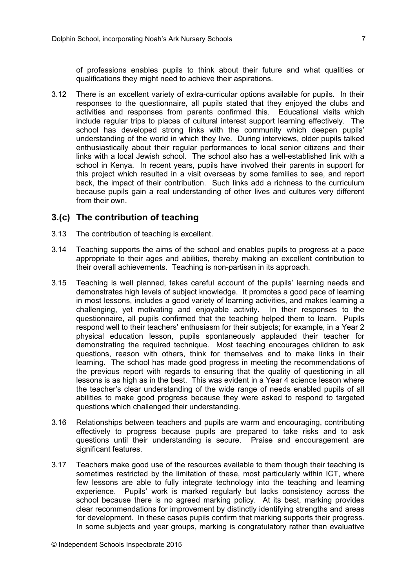of professions enables pupils to think about their future and what qualities or qualifications they might need to achieve their aspirations.

3.12 There is an excellent variety of extra-curricular options available for pupils. In their responses to the questionnaire, all pupils stated that they enjoyed the clubs and activities and responses from parents confirmed this. Educational visits which include regular trips to places of cultural interest support learning effectively. The school has developed strong links with the community which deepen pupils' understanding of the world in which they live. During interviews, older pupils talked enthusiastically about their regular performances to local senior citizens and their links with a local Jewish school. The school also has a well-established link with a school in Kenya. In recent years, pupils have involved their parents in support for this project which resulted in a visit overseas by some families to see, and report back, the impact of their contribution. Such links add a richness to the curriculum because pupils gain a real understanding of other lives and cultures very different from their own.

#### **3.(c) The contribution of teaching**

- 3.13 The contribution of teaching is excellent.
- 3.14 Teaching supports the aims of the school and enables pupils to progress at a pace appropriate to their ages and abilities, thereby making an excellent contribution to their overall achievements. Teaching is non-partisan in its approach.
- 3.15 Teaching is well planned, takes careful account of the pupils' learning needs and demonstrates high levels of subject knowledge. It promotes a good pace of learning in most lessons, includes a good variety of learning activities, and makes learning a challenging, yet motivating and enjoyable activity. In their responses to the questionnaire, all pupils confirmed that the teaching helped them to learn. Pupils respond well to their teachers' enthusiasm for their subjects; for example, in a Year 2 physical education lesson, pupils spontaneously applauded their teacher for demonstrating the required technique. Most teaching encourages children to ask questions, reason with others, think for themselves and to make links in their learning. The school has made good progress in meeting the recommendations of the previous report with regards to ensuring that the quality of questioning in all lessons is as high as in the best. This was evident in a Year 4 science lesson where the teacher's clear understanding of the wide range of needs enabled pupils of all abilities to make good progress because they were asked to respond to targeted questions which challenged their understanding.
- 3.16 Relationships between teachers and pupils are warm and encouraging, contributing effectively to progress because pupils are prepared to take risks and to ask questions until their understanding is secure. Praise and encouragement are significant features.
- 3.17 Teachers make good use of the resources available to them though their teaching is sometimes restricted by the limitation of these, most particularly within ICT, where few lessons are able to fully integrate technology into the teaching and learning experience. Pupils' work is marked regularly but lacks consistency across the school because there is no agreed marking policy. At its best, marking provides clear recommendations for improvement by distinctly identifying strengths and areas for development. In these cases pupils confirm that marking supports their progress. In some subjects and year groups, marking is congratulatory rather than evaluative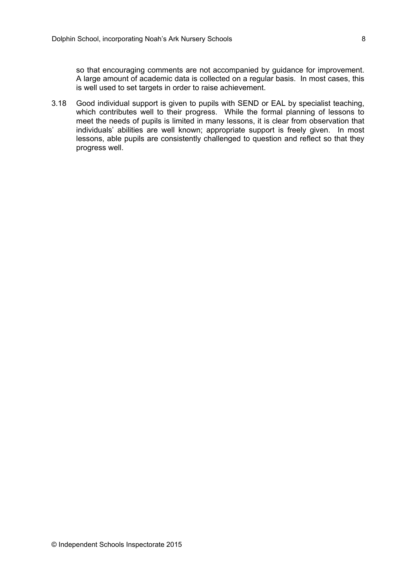so that encouraging comments are not accompanied by guidance for improvement. A large amount of academic data is collected on a regular basis. In most cases, this is well used to set targets in order to raise achievement.

3.18 Good individual support is given to pupils with SEND or EAL by specialist teaching, which contributes well to their progress. While the formal planning of lessons to meet the needs of pupils is limited in many lessons, it is clear from observation that individuals' abilities are well known; appropriate support is freely given. In most lessons, able pupils are consistently challenged to question and reflect so that they progress well.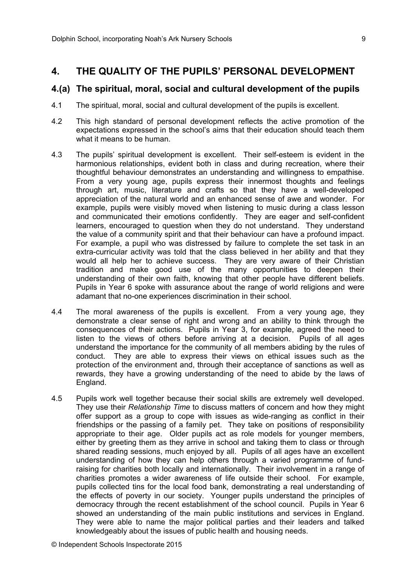#### **4. THE QUALITY OF THE PUPILS' PERSONAL DEVELOPMENT**

#### **4.(a) The spiritual, moral, social and cultural development of the pupils**

- 4.1 The spiritual, moral, social and cultural development of the pupils is excellent.
- 4.2 This high standard of personal development reflects the active promotion of the expectations expressed in the school's aims that their education should teach them what it means to be human.
- 4.3 The pupils' spiritual development is excellent. Their self-esteem is evident in the harmonious relationships, evident both in class and during recreation, where their thoughtful behaviour demonstrates an understanding and willingness to empathise. From a very young age, pupils express their innermost thoughts and feelings through art, music, literature and crafts so that they have a well-developed appreciation of the natural world and an enhanced sense of awe and wonder. For example, pupils were visibly moved when listening to music during a class lesson and communicated their emotions confidently. They are eager and self-confident learners, encouraged to question when they do not understand. They understand the value of a community spirit and that their behaviour can have a profound impact. For example, a pupil who was distressed by failure to complete the set task in an extra-curricular activity was told that the class believed in her ability and that they would all help her to achieve success. They are very aware of their Christian tradition and make good use of the many opportunities to deepen their understanding of their own faith, knowing that other people have different beliefs. Pupils in Year 6 spoke with assurance about the range of world religions and were adamant that no-one experiences discrimination in their school.
- 4.4 The moral awareness of the pupils is excellent. From a very young age, they demonstrate a clear sense of right and wrong and an ability to think through the consequences of their actions. Pupils in Year 3, for example, agreed the need to listen to the views of others before arriving at a decision. Pupils of all ages understand the importance for the community of all members abiding by the rules of conduct. They are able to express their views on ethical issues such as the protection of the environment and, through their acceptance of sanctions as well as rewards, they have a growing understanding of the need to abide by the laws of England.
- 4.5 Pupils work well together because their social skills are extremely well developed. They use their *Relationship Time* to discuss matters of concern and how they might offer support as a group to cope with issues as wide-ranging as conflict in their friendships or the passing of a family pet. They take on positions of responsibility appropriate to their age. Older pupils act as role models for younger members, either by greeting them as they arrive in school and taking them to class or through shared reading sessions, much enjoyed by all. Pupils of all ages have an excellent understanding of how they can help others through a varied programme of fundraising for charities both locally and internationally. Their involvement in a range of charities promotes a wider awareness of life outside their school. For example, pupils collected tins for the local food bank, demonstrating a real understanding of the effects of poverty in our society. Younger pupils understand the principles of democracy through the recent establishment of the school council. Pupils in Year 6 showed an understanding of the main public institutions and services in England. They were able to name the major political parties and their leaders and talked knowledgeably about the issues of public health and housing needs.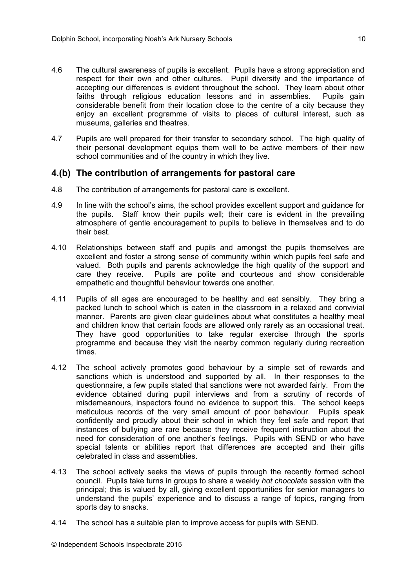- 4.6 The cultural awareness of pupils is excellent. Pupils have a strong appreciation and respect for their own and other cultures. Pupil diversity and the importance of accepting our differences is evident throughout the school. They learn about other faiths through religious education lessons and in assemblies. Pupils gain considerable benefit from their location close to the centre of a city because they enjoy an excellent programme of visits to places of cultural interest, such as museums, galleries and theatres.
- 4.7 Pupils are well prepared for their transfer to secondary school. The high quality of their personal development equips them well to be active members of their new school communities and of the country in which they live.

#### **4.(b) The contribution of arrangements for pastoral care**

- 4.8 The contribution of arrangements for pastoral care is excellent.
- 4.9 In line with the school's aims, the school provides excellent support and guidance for the pupils. Staff know their pupils well; their care is evident in the prevailing atmosphere of gentle encouragement to pupils to believe in themselves and to do their best.
- 4.10 Relationships between staff and pupils and amongst the pupils themselves are excellent and foster a strong sense of community within which pupils feel safe and valued. Both pupils and parents acknowledge the high quality of the support and care they receive. Pupils are polite and courteous and show considerable empathetic and thoughtful behaviour towards one another.
- 4.11 Pupils of all ages are encouraged to be healthy and eat sensibly. They bring a packed lunch to school which is eaten in the classroom in a relaxed and convivial manner. Parents are given clear guidelines about what constitutes a healthy meal and children know that certain foods are allowed only rarely as an occasional treat. They have good opportunities to take regular exercise through the sports programme and because they visit the nearby common regularly during recreation times.
- 4.12 The school actively promotes good behaviour by a simple set of rewards and sanctions which is understood and supported by all. In their responses to the questionnaire, a few pupils stated that sanctions were not awarded fairly. From the evidence obtained during pupil interviews and from a scrutiny of records of misdemeanours, inspectors found no evidence to support this. The school keeps meticulous records of the very small amount of poor behaviour. Pupils speak confidently and proudly about their school in which they feel safe and report that instances of bullying are rare because they receive frequent instruction about the need for consideration of one another's feelings. Pupils with SEND or who have special talents or abilities report that differences are accepted and their gifts celebrated in class and assemblies.
- 4.13 The school actively seeks the views of pupils through the recently formed school council. Pupils take turns in groups to share a weekly *hot chocolate* session with the principal; this is valued by all, giving excellent opportunities for senior managers to understand the pupils' experience and to discuss a range of topics, ranging from sports day to snacks.
- 4.14 The school has a suitable plan to improve access for pupils with SEND.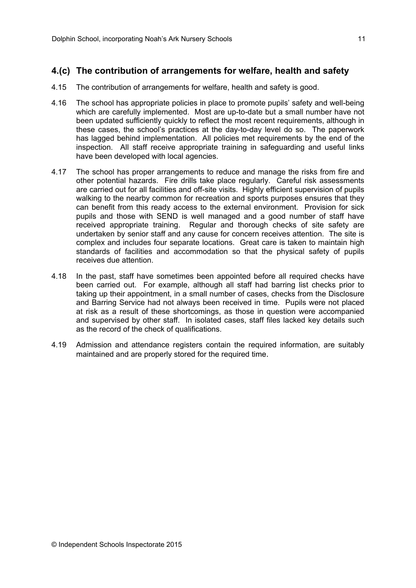#### **4.(c) The contribution of arrangements for welfare, health and safety**

- 4.15 The contribution of arrangements for welfare, health and safety is good.
- 4.16 The school has appropriate policies in place to promote pupils' safety and well-being which are carefully implemented. Most are up-to-date but a small number have not been updated sufficiently quickly to reflect the most recent requirements, although in these cases, the school's practices at the day-to-day level do so. The paperwork has lagged behind implementation. All policies met requirements by the end of the inspection. All staff receive appropriate training in safeguarding and useful links have been developed with local agencies.
- 4.17 The school has proper arrangements to reduce and manage the risks from fire and other potential hazards. Fire drills take place regularly. Careful risk assessments are carried out for all facilities and off-site visits. Highly efficient supervision of pupils walking to the nearby common for recreation and sports purposes ensures that they can benefit from this ready access to the external environment. Provision for sick pupils and those with SEND is well managed and a good number of staff have received appropriate training. Regular and thorough checks of site safety are undertaken by senior staff and any cause for concern receives attention. The site is complex and includes four separate locations. Great care is taken to maintain high standards of facilities and accommodation so that the physical safety of pupils receives due attention.
- 4.18 In the past, staff have sometimes been appointed before all required checks have been carried out. For example, although all staff had barring list checks prior to taking up their appointment, in a small number of cases, checks from the Disclosure and Barring Service had not always been received in time. Pupils were not placed at risk as a result of these shortcomings, as those in question were accompanied and supervised by other staff. In isolated cases, staff files lacked key details such as the record of the check of qualifications.
- 4.19 Admission and attendance registers contain the required information, are suitably maintained and are properly stored for the required time.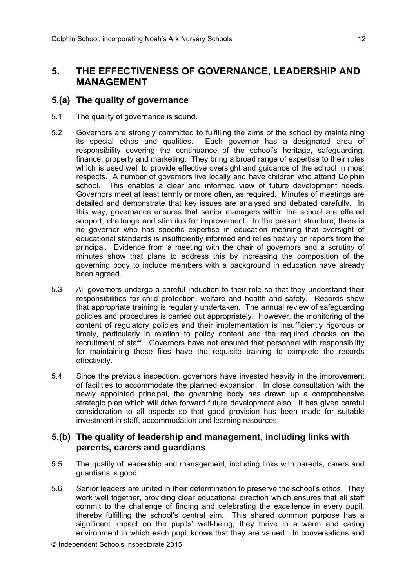## **5. THE EFFECTIVENESS OF GOVERNANCE, LEADERSHIP AND MANAGEMENT**

#### **5.(a) The quality of governance**

- 5.1 The quality of governance is sound.
- 5.2 Governors are strongly committed to fulfilling the aims of the school by maintaining its special ethos and qualities. Each governor has a designated area of responsibility covering the continuance of the school's heritage, safeguarding, finance, property and marketing. They bring a broad range of expertise to their roles which is used well to provide effective oversight and guidance of the school in most respects. A number of governors live locally and have children who attend Dolphin school. This enables a clear and informed view of future development needs. Governors meet at least termly or more often, as required. Minutes of meetings are detailed and demonstrate that key issues are analysed and debated carefully. In this way, governance ensures that senior managers within the school are offered support, challenge and stimulus for improvement. In the present structure, there is no governor who has specific expertise in education meaning that oversight of educational standards is insufficiently informed and relies heavily on reports from the principal. Evidence from a meeting with the chair of governors and a scrutiny of minutes show that plans to address this by increasing the composition of the governing body to include members with a background in education have already been agreed.
- 5.3 All governors undergo a careful induction to their role so that they understand their responsibilities for child protection, welfare and health and safety. Records show that appropriate training is regularly undertaken. The annual review of safeguarding policies and procedures is carried out appropriately. However, the monitoring of the content of regulatory policies and their implementation is insufficiently rigorous or timely, particularly in relation to policy content and the required checks on the recruitment of staff. Governors have not ensured that personnel with responsibility for maintaining these files have the requisite training to complete the records effectively.
- 5.4 Since the previous inspection, governors have invested heavily in the improvement of facilities to accommodate the planned expansion. In close consultation with the newly appointed principal, the governing body has drawn up a comprehensive strategic plan which will drive forward future development also. It has given careful consideration to all aspects so that good provision has been made for suitable investment in staff, accommodation and learning resources.

#### **5.(b) The quality of leadership and management, including links with parents, carers and guardians**

- 5.5 The quality of leadership and management, including links with parents, carers and guardians is good.
- 5.6 Senior leaders are united in their determination to preserve the school's ethos. They work well together, providing clear educational direction which ensures that all staff commit to the challenge of finding and celebrating the excellence in every pupil, thereby fulfilling the school's central aim. This shared common purpose has a significant impact on the pupils' well-being; they thrive in a warm and caring environment in which each pupil knows that they are valued. In conversations and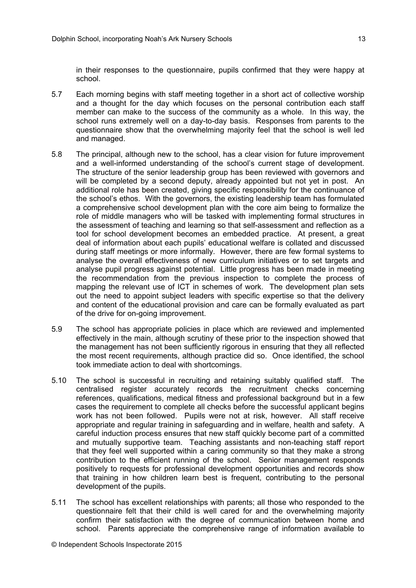in their responses to the questionnaire, pupils confirmed that they were happy at school.

- 5.7 Each morning begins with staff meeting together in a short act of collective worship and a thought for the day which focuses on the personal contribution each staff member can make to the success of the community as a whole. In this way, the school runs extremely well on a day-to-day basis. Responses from parents to the questionnaire show that the overwhelming majority feel that the school is well led and managed.
- 5.8 The principal, although new to the school, has a clear vision for future improvement and a well-informed understanding of the school's current stage of development. The structure of the senior leadership group has been reviewed with governors and will be completed by a second deputy, already appointed but not yet in post. An additional role has been created, giving specific responsibility for the continuance of the school's ethos. With the governors, the existing leadership team has formulated a comprehensive school development plan with the core aim being to formalize the role of middle managers who will be tasked with implementing formal structures in the assessment of teaching and learning so that self-assessment and reflection as a tool for school development becomes an embedded practice. At present, a great deal of information about each pupils' educational welfare is collated and discussed during staff meetings or more informally. However, there are few formal systems to analyse the overall effectiveness of new curriculum initiatives or to set targets and analyse pupil progress against potential. Little progress has been made in meeting the recommendation from the previous inspection to complete the process of mapping the relevant use of ICT in schemes of work. The development plan sets out the need to appoint subject leaders with specific expertise so that the delivery and content of the educational provision and care can be formally evaluated as part of the drive for on-going improvement.
- 5.9 The school has appropriate policies in place which are reviewed and implemented effectively in the main, although scrutiny of these prior to the inspection showed that the management has not been sufficiently rigorous in ensuring that they all reflected the most recent requirements, although practice did so. Once identified, the school took immediate action to deal with shortcomings.
- 5.10 The school is successful in recruiting and retaining suitably qualified staff. The centralised register accurately records the recruitment checks concerning references, qualifications, medical fitness and professional background but in a few cases the requirement to complete all checks before the successful applicant begins work has not been followed. Pupils were not at risk, however. All staff receive appropriate and regular training in safeguarding and in welfare, health and safety. A careful induction process ensures that new staff quickly become part of a committed and mutually supportive team. Teaching assistants and non-teaching staff report that they feel well supported within a caring community so that they make a strong contribution to the efficient running of the school. Senior management responds positively to requests for professional development opportunities and records show that training in how children learn best is frequent, contributing to the personal development of the pupils.
- 5.11 The school has excellent relationships with parents; all those who responded to the questionnaire felt that their child is well cared for and the overwhelming majority confirm their satisfaction with the degree of communication between home and school. Parents appreciate the comprehensive range of information available to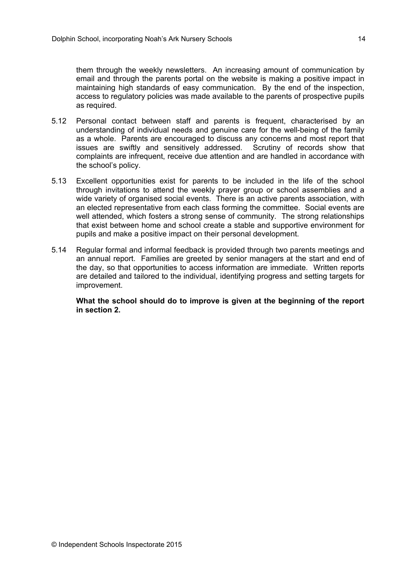them through the weekly newsletters. An increasing amount of communication by email and through the parents portal on the website is making a positive impact in maintaining high standards of easy communication. By the end of the inspection, access to regulatory policies was made available to the parents of prospective pupils as required.

- 5.12 Personal contact between staff and parents is frequent, characterised by an understanding of individual needs and genuine care for the well-being of the family as a whole. Parents are encouraged to discuss any concerns and most report that issues are swiftly and sensitively addressed. Scrutiny of records show that complaints are infrequent, receive due attention and are handled in accordance with the school's policy.
- 5.13 Excellent opportunities exist for parents to be included in the life of the school through invitations to attend the weekly prayer group or school assemblies and a wide variety of organised social events. There is an active parents association, with an elected representative from each class forming the committee. Social events are well attended, which fosters a strong sense of community. The strong relationships that exist between home and school create a stable and supportive environment for pupils and make a positive impact on their personal development.
- 5.14 Regular formal and informal feedback is provided through two parents meetings and an annual report. Families are greeted by senior managers at the start and end of the day, so that opportunities to access information are immediate. Written reports are detailed and tailored to the individual, identifying progress and setting targets for improvement.

**What the school should do to improve is given at the beginning of the report in section 2.**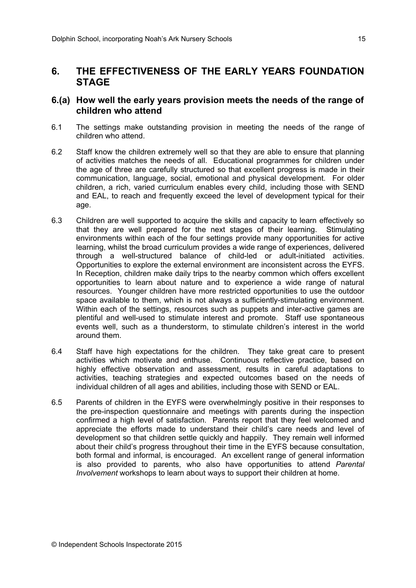## **6. THE EFFECTIVENESS OF THE EARLY YEARS FOUNDATION STAGE**

#### **6.(a) How well the early years provision meets the needs of the range of children who attend**

- 6.1 The settings make outstanding provision in meeting the needs of the range of children who attend.
- 6.2 Staff know the children extremely well so that they are able to ensure that planning of activities matches the needs of all. Educational programmes for children under the age of three are carefully structured so that excellent progress is made in their communication, language, social, emotional and physical development. For older children, a rich, varied curriculum enables every child, including those with SEND and EAL, to reach and frequently exceed the level of development typical for their age.
- 6.3 Children are well supported to acquire the skills and capacity to learn effectively so that they are well prepared for the next stages of their learning. Stimulating environments within each of the four settings provide many opportunities for active learning, whilst the broad curriculum provides a wide range of experiences, delivered through a well-structured balance of child-led or adult-initiated activities. Opportunities to explore the external environment are inconsistent across the EYFS. In Reception, children make daily trips to the nearby common which offers excellent opportunities to learn about nature and to experience a wide range of natural resources. Younger children have more restricted opportunities to use the outdoor space available to them, which is not always a sufficiently-stimulating environment. Within each of the settings, resources such as puppets and inter-active games are plentiful and well-used to stimulate interest and promote. Staff use spontaneous events well, such as a thunderstorm, to stimulate children's interest in the world around them.
- 6.4 Staff have high expectations for the children. They take great care to present activities which motivate and enthuse. Continuous reflective practice, based on highly effective observation and assessment, results in careful adaptations to activities, teaching strategies and expected outcomes based on the needs of individual children of all ages and abilities, including those with SEND or EAL.
- 6.5 Parents of children in the EYFS were overwhelmingly positive in their responses to the pre-inspection questionnaire and meetings with parents during the inspection confirmed a high level of satisfaction. Parents report that they feel welcomed and appreciate the efforts made to understand their child's care needs and level of development so that children settle quickly and happily. They remain well informed about their child's progress throughout their time in the EYFS because consultation, both formal and informal, is encouraged. An excellent range of general information is also provided to parents, who also have opportunities to attend *Parental Involvement* workshops to learn about ways to support their children at home.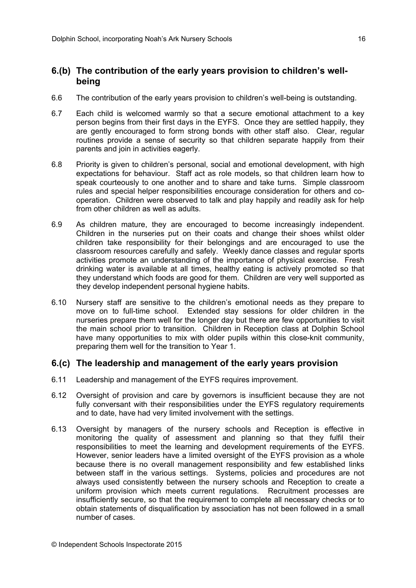#### **6.(b) The contribution of the early years provision to children's wellbeing**

- 6.6 The contribution of the early years provision to children's well-being is outstanding.
- 6.7 Each child is welcomed warmly so that a secure emotional attachment to a key person begins from their first days in the EYFS. Once they are settled happily, they are gently encouraged to form strong bonds with other staff also. Clear, regular routines provide a sense of security so that children separate happily from their parents and join in activities eagerly.
- 6.8 Priority is given to children's personal, social and emotional development, with high expectations for behaviour. Staff act as role models, so that children learn how to speak courteously to one another and to share and take turns. Simple classroom rules and special helper responsibilities encourage consideration for others and cooperation. Children were observed to talk and play happily and readily ask for help from other children as well as adults.
- 6.9 As children mature, they are encouraged to become increasingly independent. Children in the nurseries put on their coats and change their shoes whilst older children take responsibility for their belongings and are encouraged to use the classroom resources carefully and safely. Weekly dance classes and regular sports activities promote an understanding of the importance of physical exercise. Fresh drinking water is available at all times, healthy eating is actively promoted so that they understand which foods are good for them. Children are very well supported as they develop independent personal hygiene habits.
- 6.10 Nursery staff are sensitive to the children's emotional needs as they prepare to move on to full-time school. Extended stay sessions for older children in the nurseries prepare them well for the longer day but there are few opportunities to visit the main school prior to transition. Children in Reception class at Dolphin School have many opportunities to mix with older pupils within this close-knit community, preparing them well for the transition to Year 1.

#### **6.(c) The leadership and management of the early years provision**

- 6.11 Leadership and management of the EYFS requires improvement.
- 6.12 Oversight of provision and care by governors is insufficient because they are not fully conversant with their responsibilities under the EYFS regulatory requirements and to date, have had very limited involvement with the settings.
- 6.13 Oversight by managers of the nursery schools and Reception is effective in monitoring the quality of assessment and planning so that they fulfil their responsibilities to meet the learning and development requirements of the EYFS. However, senior leaders have a limited oversight of the EYFS provision as a whole because there is no overall management responsibility and few established links between staff in the various settings. Systems, policies and procedures are not always used consistently between the nursery schools and Reception to create a uniform provision which meets current regulations. Recruitment processes are insufficiently secure, so that the requirement to complete all necessary checks or to obtain statements of disqualification by association has not been followed in a small number of cases.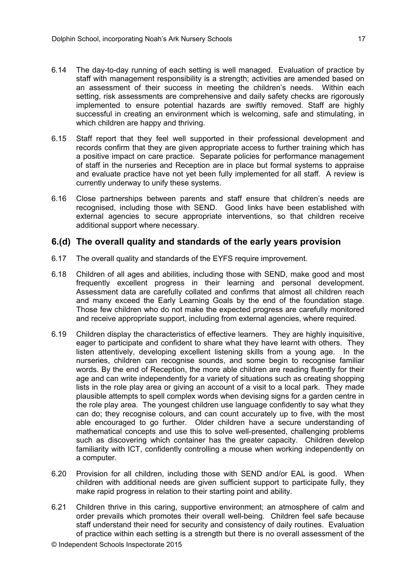- 6.14 The day-to-day running of each setting is well managed. Evaluation of practice by staff with management responsibility is a strength; activities are amended based on an assessment of their success in meeting the children's needs. Within each setting, risk assessments are comprehensive and daily safety checks are rigorously implemented to ensure potential hazards are swiftly removed. Staff are highly successful in creating an environment which is welcoming, safe and stimulating, in which children are happy and thriving.
- 6.15 Staff report that they feel well supported in their professional development and records confirm that they are given appropriate access to further training which has a positive impact on care practice. Separate policies for performance management of staff in the nurseries and Reception are in place but formal systems to appraise and evaluate practice have not yet been fully implemented for all staff. A review is currently underway to unify these systems.
- 6.16 Close partnerships between parents and staff ensure that children's needs are recognised, including those with SEND. Good links have been established with external agencies to secure appropriate interventions, so that children receive additional support where necessary.

#### **6.(d) The overall quality and standards of the early years provision**

- 6.17 The overall quality and standards of the EYFS require improvement.
- 6.18 Children of all ages and abilities, including those with SEND, make good and most frequently excellent progress in their learning and personal development. Assessment data are carefully collated and confirms that almost all children reach and many exceed the Early Learning Goals by the end of the foundation stage. Those few children who do not make the expected progress are carefully monitored and receive appropriate support, including from external agencies, where required.
- 6.19 Children display the characteristics of effective learners. They are highly inquisitive, eager to participate and confident to share what they have learnt with others. They listen attentively, developing excellent listening skills from a young age. In the nurseries, children can recognise sounds, and some begin to recognise familiar words. By the end of Reception, the more able children are reading fluently for their age and can write independently for a variety of situations such as creating shopping lists in the role play area or giving an account of a visit to a local park. They made plausible attempts to spell complex words when devising signs for a garden centre in the role play area. The youngest children use language confidently to say what they can do; they recognise colours, and can count accurately up to five, with the most able encouraged to go further. Older children have a secure understanding of mathematical concepts and use this to solve well-presented, challenging problems such as discovering which container has the greater capacity. Children develop familiarity with ICT, confidently controlling a mouse when working independently on a computer.
- 6.20 Provision for all children, including those with SEND and/or EAL is good. When children with additional needs are given sufficient support to participate fully, they make rapid progress in relation to their starting point and ability.
- 6.21 Children thrive in this caring, supportive environment; an atmosphere of calm and order prevails which promotes their overall well-being. Children feel safe because staff understand their need for security and consistency of daily routines. Evaluation of practice within each setting is a strength but there is no overall assessment of the